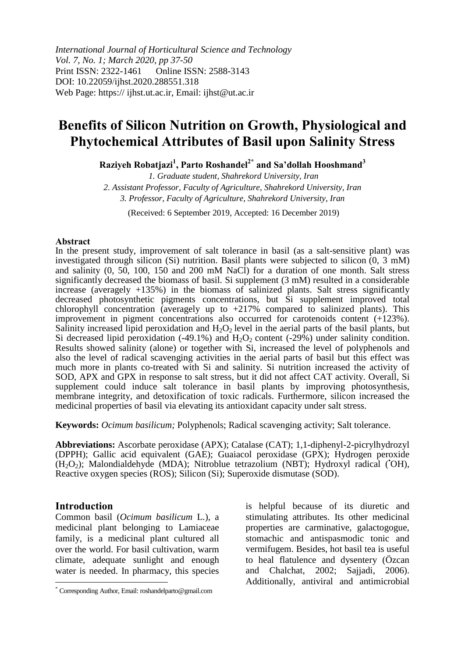*International Journal of Horticultural Science and Technology Vol. 7, No. 1; March 2020, pp 37-50* Print ISSN: 2322-1461 Online ISSN: 2588-3143 DOI: 10.22059/ijhst.2020.288551.318 Web Page: https:// ijhst.ut.ac.ir, Email: ijhst@ut.ac.ir

## **Benefits of Silicon Nutrition on Growth, Physiological and Phytochemical Attributes of Basil upon Salinity Stress**

**Raziyeh Robatjazi<sup>1</sup> , Parto Roshandel2\* and Sa'dollah Hooshmand<sup>3</sup>**

*1. Graduate student, Shahrekord University, Iran 2. Assistant Professor, Faculty of Agriculture, Shahrekord University, Iran 3. Professor, Faculty of Agriculture, Shahrekord University, Iran*

(Received: 6 September 2019, Accepted: 16 December 2019)

#### **Abstract**

In the present study, improvement of salt tolerance in basil (as a salt-sensitive plant) was investigated through silicon (Si) nutrition. Basil plants were subjected to silicon  $(0, 3 \text{ mM})$ and salinity (0, 50, 100, 150 and 200 mM NaCl) for a duration of one month. Salt stress significantly decreased the biomass of basil*.* Si supplement (3 mM) resulted in a considerable increase (averagely +135%) in the biomass of salinized plants. Salt stress significantly decreased photosynthetic pigments concentrations, but Si supplement improved total chlorophyll concentration (averagely up to  $+217\%$  compared to salinized plants). This improvement in pigment concentrations also occurred for carotenoids content (+123%). Salinity increased lipid peroxidation and  $H_2O_2$  level in the aerial parts of the basil plants, but Si decreased lipid peroxidation  $(-49.1\%)$  and  $H_2O_2$  content  $(-29\%)$  under salinity condition. Results showed salinity (alone) or together with Si, increased the level of polyphenols and also the level of radical scavenging activities in the aerial parts of basil but this effect was much more in plants co-treated with Si and salinity*.* Si nutrition increased the activity of SOD, APX and GPX in response to salt stress, but it did not affect CAT activity. Overall, Si supplement could induce salt tolerance in basil plants by improving photosynthesis, membrane integrity, and detoxification of toxic radicals. Furthermore, silicon increased the medicinal properties of basil via elevating its antioxidant capacity under salt stress.

**Keywords:** *Ocimum basilicum;* Polyphenols; Radical scavenging activity; Salt tolerance.

**Abbreviations:** Ascorbate peroxidase (APX); Catalase (CAT); 1,1-diphenyl-2-picrylhydrozyl (DPPH); Gallic acid equivalent (GAE); Guaiacol peroxidase (GPX); Hydrogen peroxide  $(H_2O_2)$ ; Malondialdehyde (MDA); Nitroblue tetrazolium (NBT); Hydroxyl radical (OH), Reactive oxygen species (ROS); Silicon (Si); Superoxide dismutase (SOD).

## **Introduction**

 $\overline{a}$ 

Common basil (*Ocimum basilicum* L.), a medicinal plant belonging to Lamiaceae family, is a medicinal plant cultured all over the world. For basil cultivation, warm climate, adequate sunlight and enough water is needed. In pharmacy, this species

is helpful because of its diuretic and stimulating attributes. Its other medicinal properties are carminative, galactogogue, stomachic and antispasmodic tonic and vermifugem. Besides, hot basil tea is useful to heal flatulence and dysentery (Özcan and Chalchat, 2002; Sajjadi, 2006). Additionally, antiviral and antimicrobial

<sup>\*</sup> Corresponding Author, Email: roshandelparto@gmail.com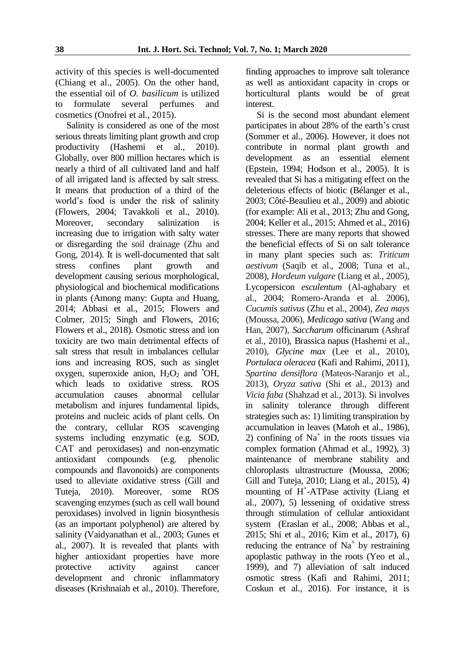activity of this species is well-documented (Chiang et al., 2005). On the other hand, the essential oil of *O. basilicum* is utilized to formulate several perfumes and cosmetics (Onofrei et al., 2015).

Salinity is considered as one of the most serious threats limiting plant growth and crop productivity (Hashemi et al., 2010). Globally, over 800 million hectares which is nearly a third of all cultivated land and half of all irrigated land is affected by salt stress. It means that production of a third of the world's food is under the risk of salinity (Flowers, 2004; Tavakkoli et al., 2010). Moreover, secondary salinization is increasing due to irrigation with salty water or disregarding the soil drainage (Zhu and Gong, 2014). It is well-documented that salt stress confines plant growth and development causing serious morphological, physiological and biochemical modifications in plants (Among many: Gupta and Huang, 2014; Abbasi et al., 2015; Flowers and Colmer, 2015; Singh and Flowers, 2016; Flowers et al., 2018). Osmotic stress and ion toxicity are two main detrimental effects of salt stress that result in imbalances cellular ions and increasing ROS, such as singlet oxygen, superoxide anion,  $H_2O_2$  and  $^{\bullet}OH$ , which leads to oxidative stress. ROS accumulation causes abnormal cellular metabolism and injures fundamental lipids, proteins and nucleic acids of plant cells. On the contrary, cellular ROS scavenging systems including enzymatic (e.g. SOD, CAT and peroxidases) and non-enzymatic antioxidant compounds (e.g. phenolic compounds and flavonoids) are components used to alleviate oxidative stress (Gill and Tuteja, 2010). Moreover, some ROS scavenging enzymes (such as cell wall bound peroxidases) involved in lignin biosynthesis (as an important polyphenol) are altered by salinity (Vaidyanathan et al., 2003; Gunes et al., 2007). It is revealed that plants with higher antioxidant properties have more protective activity against cancer development and chronic inflammatory diseases (Krishnaiah et al., 2010). Therefore,

finding approaches to improve salt tolerance as well as antioxidant capacity in crops or horticultural plants would be of great interest.

Si is the second most abundant element participates in about 28% of the earth's crust (Sommer et al., 2006). However, it does not contribute in normal plant growth and development as an essential element (Epstein, 1994; Hodson et al., 2005). It is revealed that Si has a mitigating effect on the deleterious effects of biotic (Bélanger et al., 2003; Côté-Beaulieu et al., 2009) and abiotic (for example: Ali et al., 2013; Zhu and Gong, 2004; Keller et al., 2015; Ahmed et al., 2016) stresses. There are many reports that showed the beneficial effects of Si on salt tolerance in many plant species such as: *Triticum aestivum* (Saqib et al., 2008; Tuna et al., 2008), *Hordeum vulgare* (Liang et al., 2005), Lycopersicon *esculentum* (Al-aghabary et al., 2004; Romero-Aranda et al. 2006), *Cucumis sativus* (Zhu et al., 2004), *Zea mays* (Moussa, 2006), *Medicago sativa* (Wang and Han, 2007), *Saccharum* officinarum (Ashraf et al., 2010), Brassica napus (Hashemi et al., 2010), *Glycine max* (Lee et al., 2010), *Portulaca oleracea* (Kafi and Rahimi, 2011), *Spartina densiflora* (Mateos-Naranjo et al., 2013), *Oryza sativa* (Shi et al., 2013) and *Vicia faba* (Shahzad et al., 2013). Si involves in salinity tolerance through different strategies such as: 1) limiting transpiration by accumulation in leaves (Matoh et al., 1986), 2) confining of  $Na<sup>+</sup>$  in the roots tissues via complex formation (Ahmad et al., 1992), 3) maintenance of membrane stability and chloroplasts ultrastructure (Moussa, 2006; Gill and Tuteja, 2010; Liang et al., 2015), 4) mounting of H + -ATPase activity (Liang et al., 2007), 5) lessening of oxidative stress through stimulation of cellular antioxidant system (Eraslan et al., 2008; Abbas et al., 2015; Shi et al., 2016; Kim et al., 2017), 6) reducing the entrance of  $Na<sup>+</sup>$  by restraining apoplastic pathway in the roots (Yeo et al., 1999), and 7) alleviation of salt induced osmotic stress (Kafi and Rahimi, 2011; Coskun et al., 2016). For instance, it is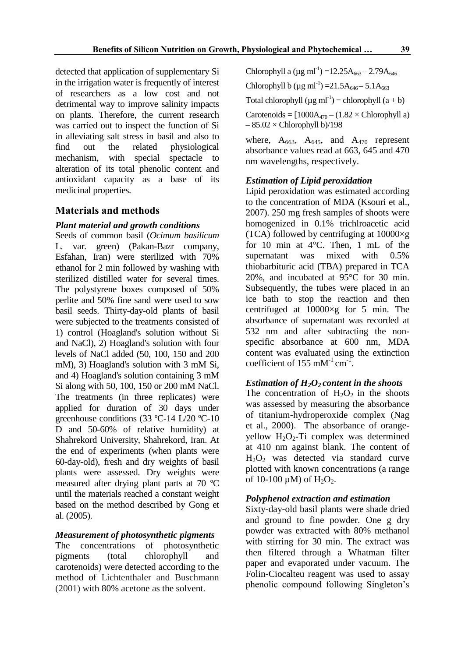detected that application of supplementary Si in the irrigation water is frequently of interest of researchers as a low cost and not detrimental way to improve salinity impacts on plants. Therefore, the current research was carried out to inspect the function of Si in alleviating salt stress in basil and also to find out the related physiological mechanism, with special spectacle to alteration of its total phenolic content and antioxidant capacity as a base of its medicinal properties.

## **Materials and methods**

## *Plant material and growth conditions*

Seeds of common basil (*Ocimum basilicum* L*.* var. green) (Pakan-Bazr company, Esfahan, Iran) were sterilized with 70% ethanol for 2 min followed by washing with sterilized distilled water for several times. The polystyrene boxes composed of 50% perlite and 50% fine sand were used to sow basil seeds. Thirty-day-old plants of basil were subjected to the treatments consisted of 1) control (Hoagland's solution without Si and NaCl), 2) Hoagland's solution with four levels of NaCl added (50, 100, 150 and 200 mM), 3) Hoagland's solution with 3 mM Si, and 4) Hoagland's solution containing 3 mM Si along with 50, 100, 150 or 200 mM NaCl. The treatments (in three replicates) were applied for duration of 30 days under greenhouse conditions (33 ºC-14 L/20 ºC-10 D and 50-60% of relative humidity) at Shahrekord University, Shahrekord, Iran. At the end of experiments (when plants were 60-day-old), fresh and dry weights of basil plants were assessed. Dry weights were measured after drying plant parts at 70 ºC until the materials reached a constant weight based on the method described by Gong et al. (2005).

## *Measurement of photosynthetic pigments*

The concentrations of photosynthetic pigments (total chlorophyll and carotenoids) were detected according to the method of Lichtenthaler and Buschmann (2001) with 80% acetone as the solvent.

Chlorophyll a ( $\mu$ g ml<sup>-1</sup>) =12.25A<sub>663</sub> – 2.79A<sub>646</sub>

Chlorophyll b ( $\mu$ g ml<sup>-1</sup>) = 21.5A<sub>646</sub> – 5.1A<sub>663</sub>

Total chlorophyll  $(\mu g \text{ ml}^{-1}) = \text{chlorophyll } (a + b)$ 

Carotenoids =  $[1000A_{470} - (1.82 \times Chlorophyll a)]$  $-85.02 \times$ Chlorophyll b)/198

where,  $A_{663}$ ,  $A_{645}$ , and  $A_{470}$  represent absorbance values read at 663, 645 and 470 nm wavelengths, respectively.

## *Estimation of Lipid peroxidation*

Lipid peroxidation was estimated according to the concentration of MDA (Ksouri et al., 2007). 250 mg fresh samples of shoots were homogenized in 0.1% trichlroacetic acid (TCA) followed by centrifuging at 10000×g for 10 min at 4°C. Then, 1 mL of the supernatant was mixed with 0.5% thiobarbituric acid (TBA) prepared in TCA 20%, and incubated at 95°C for 30 min. Subsequently, the tubes were placed in an ice bath to stop the reaction and then centrifuged at 10000×g for 5 min. The absorbance of supernatant was recorded at 532 nm and after subtracting the nonspecific absorbance at 600 nm, MDA content was evaluated using the extinction coefficient of  $155 \text{ mM}^{-1} \text{ cm}^{-1}$ .

## *Estimation of H2O<sup>2</sup> content in the shoots*

The concentration of  $H_2O_2$  in the shoots was assessed by measuring the absorbance of titanium-hydroperoxide complex (Nag et al., 2000). The absorbance of orangeyellow  $H_2O_2$ -Ti complex was determined at 410 nm against blank. The content of  $H<sub>2</sub>O<sub>2</sub>$  was detected via standard curve plotted with known concentrations (a range of 10-100  $\mu$ M) of H<sub>2</sub>O<sub>2</sub>.

## *Polyphenol extraction and estimation*

Sixty-day-old basil plants were shade dried and ground to fine powder. One g dry powder was extracted with 80% methanol with stirring for 30 min. The extract was then filtered through a Whatman filter paper and evaporated under vacuum. The Folin-Ciocalteu reagent was used to assay phenolic compound following Singleton's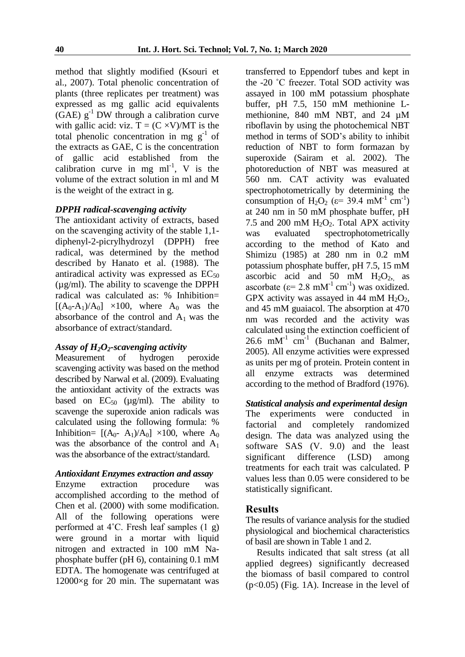method that slightly modified (Ksouri et al., 2007). Total phenolic concentration of plants (three replicates per treatment) was expressed as mg gallic acid equivalents (GAE)  $g^{-1}$  DW through a calibration curve with gallic acid: viz.  $T = (C \times V)/MT$  is the total phenolic concentration in mg  $g^{-1}$  of the extracts as GAE, C is the concentration of gallic acid established from the calibration curve in mg  $ml^{-1}$ , V is the volume of the extract solution in ml and M is the weight of the extract in g.

#### *DPPH radical-scavenging activity*

The antioxidant activity of extracts, based on the scavenging activity of the stable 1,1 diphenyl-2-picrylhydrozyl (DPPH) free radical, was determined by the method described by Hanato et al. (1988). The antiradical activity was expressed as  $EC_{50}$ (µg/ml). The ability to scavenge the DPPH radical was calculated as: % Inhibition=  $[(A_0-A_1)/A_0] \times 100$ , where  $A_0$  was the absorbance of the control and  $A_1$  was the absorbance of extract/standard.

# *Assay of H<sub>2</sub>O<sub>2</sub>-scavenging activity*<br>Measurement of hydrogen

Measurement of hydrogen peroxide scavenging activity was based on the method described by Narwal et al. (2009). Evaluating the antioxidant activity of the extracts was based on  $EC_{50}$  ( $\mu$ g/ml). The ability to scavenge the superoxide anion radicals was calculated using the following formula: % Inhibition=  $[(A<sub>0</sub>- A<sub>1</sub>)/A<sub>0</sub>] \times 100$ , where  $A<sub>0</sub>$ was the absorbance of the control and  $A_1$ was the absorbance of the extract/standard.

#### *Antioxidant Enzymes extraction and assay*

Enzyme extraction procedure was accomplished according to the method of Chen et al. (2000) with some modification. All of the following operations were performed at 4˚C. Fresh leaf samples (1 g) were ground in a mortar with liquid nitrogen and extracted in 100 mM Naphosphate buffer (pH 6), containing 0.1 mM EDTA. The homogenate was centrifuged at  $12000\times g$  for 20 min. The supernatant was transferred to Eppendorf tubes and kept in the -20 ˚C freezer. Total SOD activity was assayed in 100 mM potassium phosphate buffer, pH 7.5, 150 mM methionine Lmethionine, 840 mM NBT, and 24 µM riboflavin by using the photochemical NBT method in terms of SOD's ability to inhibit reduction of NBT to form formazan by superoxide (Sairam et al. 2002). The photoreduction of NBT was measured at 560 nm. CAT activity was evaluated spectrophotometrically by determining the consumption of H<sub>2</sub>O<sub>2</sub> ( $\varepsilon$ = 39.4 mM<sup>-1</sup> cm<sup>-1</sup>) at 240 nm in 50 mM phosphate buffer, pH 7.5 and 200 mM  $H_2O_2$ . Total APX activity was evaluated spectrophotometrically according to the method of Kato and Shimizu (1985) at 280 nm in 0.2 mM potassium phosphate buffer, pH 7.5, 15 mM ascorbic acid and 50 mM  $H_2O_2$ , as ascorbate ( $\varepsilon$ = 2.8 mM<sup>-1</sup> cm<sup>-1</sup>) was oxidized. GPX activity was assayed in 44 mM  $H_2O_2$ , and 45 mM guaiacol. The absorption at 470 nm was recorded and the activity was calculated using the extinction coefficient of  $26.6$  mM<sup>-1</sup> cm<sup>-1</sup> (Buchanan and Balmer, 2005). All enzyme activities were expressed as units per mg of protein. Protein content in all enzyme extracts was determined according to the method of Bradford (1976).

#### *Statistical analysis and experimental design*

The experiments were conducted in factorial and completely randomized design. The data was analyzed using the software SAS (V. 9.0) and the least significant difference (LSD) among treatments for each trait was calculated. P values less than 0.05 were considered to be statistically significant.

#### **Results**

The results of variance analysis for the studied physiological and biochemical characteristics of basil are shown in Table 1 and 2.

Results indicated that salt stress (at all applied degrees) significantly decreased the biomass of basil compared to control (p<0.05) (Fig. 1A). Increase in the level of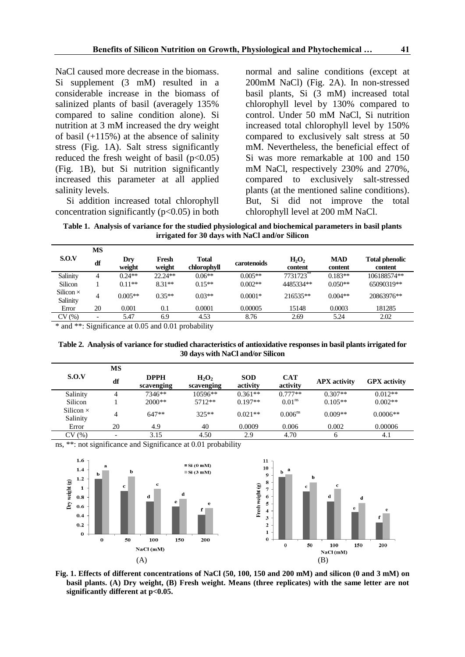NaCl caused more decrease in the biomass. Si supplement (3 mM) resulted in a considerable increase in the biomass of salinized plants of basil (averagely 135% compared to saline condition alone). Si nutrition at 3 mM increased the dry weight of basil (+115%) at the absence of salinity stress (Fig. 1A). Salt stress significantly reduced the fresh weight of basil  $(p<0.05)$ (Fig. 1B), but Si nutrition significantly increased this parameter at all applied salinity levels.

Si addition increased total chlorophyll concentration significantly ( $p<0.05$ ) in both normal and saline conditions (except at 200mM NaCl) (Fig. 2A). In non-stressed basil plants, Si (3 mM) increased total chlorophyll level by 130% compared to control. Under 50 mM NaCl, Si nutrition increased total chlorophyll level by 150% compared to exclusively salt stress at 50 mM. Nevertheless, the beneficial effect of Si was more remarkable at 100 and 150 mM NaCl, respectively 230% and 270%, compared to exclusively salt-stressed plants (at the mentioned saline conditions). But, Si did not improve the total chlorophyll level at 200 mM NaCl.

**Table 1. Analysis of variance for the studied physiological and biochemical parameters in basil plants irrigated for 30 days with NaCl and/or Silicon**

|                              | MS                       |                      |                 |                             |             |                                          |                       |                                  |
|------------------------------|--------------------------|----------------------|-----------------|-----------------------------|-------------|------------------------------------------|-----------------------|----------------------------------|
| S.O.V                        | df                       | Dry<br>weight        | Fresh<br>weight | <b>Total</b><br>chlorophyll | carotenoids | H <sub>2</sub> O <sub>2</sub><br>content | <b>MAD</b><br>content | <b>Total phenolic</b><br>content |
| Salinity                     | 4                        | $0.24**$             | $22.24**$       | $0.06**$                    | $0.005**$   | 7731723                                  | $0.183**$             | 106188574**                      |
| <b>Silicon</b>               |                          | $0.11**$             | $8.31**$        | $0.15**$                    | $0.002**$   | 4485334**                                | $0.050**$             | 65090319**                       |
| Silicon $\times$<br>Salinity | 4                        | $0.005**$            | $0.35**$        | $0.03**$                    | $0.0001*$   | 216535**                                 | $0.004**$             | 20863976**                       |
| Error                        | 20                       | 0.001                | 0.1             | 0.0001                      | 0.00005     | 15148                                    | 0.0003                | 181285                           |
| CV(%)                        | $\overline{\phantom{0}}$ | 5.47                 | 6.9             | 4.53                        | 8.76        | 2.69                                     | 5.24                  | 2.02                             |
| .                            |                          | $\sim$ $\sim$ $\sim$ | .               |                             |             |                                          |                       |                                  |

\* and \*\*: Significance at 0.05 and 0.01 probability

**Table 2. Analysis of variance for studied characteristics of antioxidative responses in basil plants irrigated for 30 days with NaCl and/or Silicon**

|                              | МS                       |                           |                        |                        |                        |                     |                     |
|------------------------------|--------------------------|---------------------------|------------------------|------------------------|------------------------|---------------------|---------------------|
| S.O.V                        | df                       | <b>DPPH</b><br>scavenging | $H_2O_2$<br>scavenging | <b>SOD</b><br>activity | <b>CAT</b><br>activity | <b>APX</b> activity | <b>GPX</b> activity |
| Salinity                     | 4                        | 7346**                    | $10596**$              | $0.361**$              | $0.777**$              | $0.307**$           | $0.012**$           |
| Silicon                      |                          | $2000**$                  | $5712**$               | $0.197**$              | 0.01 <sup>ns</sup>     | $0.105**$           | $0.002**$           |
| Silicon $\times$<br>Salinity | 4                        | $647**$                   | $325**$                | $0.021**$              | $0.006^{ns}$           | $0.009**$           | $0.0006**$          |
| Error                        | 20                       | 4.9                       | 40                     | 0.0009                 | 0.006                  | 0.002               | 0.00006             |
| CV(%)                        | $\overline{\phantom{0}}$ | 3.15                      | 4.50                   | 2.9                    | 4.70                   | 6                   | 4.1                 |

ns, \*\*: not significance and Significance at 0.01 probability



**Fig. 1. Effects of different concentrations of NaCl (50, 100, 150 and 200 mM) and silicon (0 and 3 mM) on basil plants. (A) Dry weight, (B) Fresh weight. Means (three replicates) with the same letter are not significantly different at p<0.05.**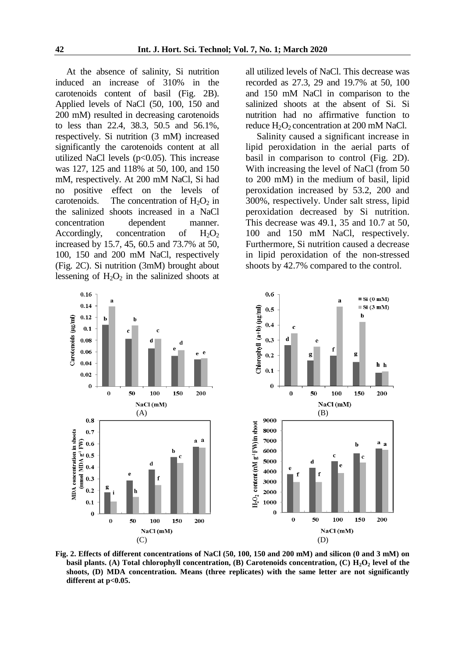At the absence of salinity, Si nutrition induced an increase of 310% in the carotenoids content of basil (Fig. 2B). Applied levels of NaCl (50, 100, 150 and 200 mM) resulted in decreasing carotenoids to less than 22.4, 38.3, 50.5 and 56.1%, respectively. Si nutrition (3 mM) increased significantly the carotenoids content at all utilized NaCl levels  $(p<0.05)$ . This increase was 127, 125 and 118% at 50, 100, and 150 mM, respectively. At 200 mM NaCl, Si had no positive effect on the levels of carotenoids. The concentration of  $H_2O_2$  in the salinized shoots increased in a NaCl concentration dependent manner. Accordingly, concentration of  $H_2O_2$ increased by 15.7, 45, 60.5 and 73.7% at 50, 100, 150 and 200 mM NaCl, respectively (Fig. 2C). Si nutrition (3mM) brought about lessening of  $H_2O_2$  in the salinized shoots at all utilized levels of NaCl. This decrease was recorded as 27.3, 29 and 19.7% at 50, 100 and 150 mM NaCl in comparison to the salinized shoots at the absent of Si. Si nutrition had no affirmative function to reduce  $H_2O_2$  concentration at 200 mM NaCl.

Salinity caused a significant increase in lipid peroxidation in the aerial parts of basil in comparison to control (Fig. 2D). With increasing the level of NaCl (from 50 to 200 mM) in the medium of basil, lipid peroxidation increased by 53.2, 200 and 300%, respectively. Under salt stress, lipid peroxidation decreased by Si nutrition. This decrease was 49.1, 35 and 10.7 at 50, 100 and 150 mM NaCl, respectively. Furthermore, Si nutrition caused a decrease in lipid peroxidation of the non-stressed shoots by 42.7% compared to the control.



**Fig. 2. Effects of different concentrations of NaCl (50, 100, 150 and 200 mM) and silicon (0 and 3 mM) on basil plants. (A) Total chlorophyll concentration, (B) Carotenoids concentration, (C) H2O<sup>2</sup> level of the shoots, (D) MDA concentration. Means (three replicates) with the same letter are not significantly different at p<0.05.**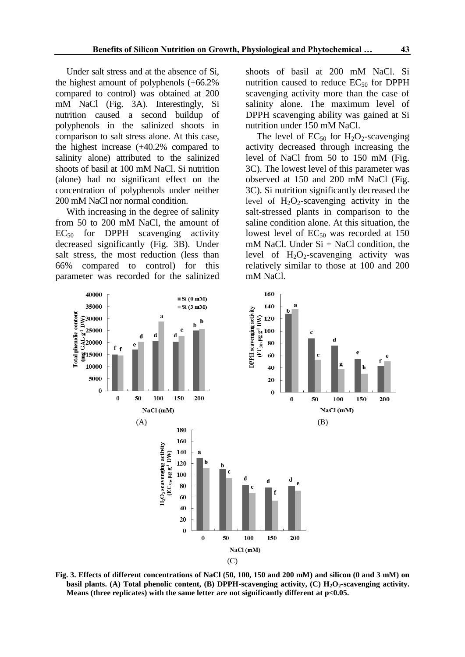Under salt stress and at the absence of Si, the highest amount of polyphenols (+66.2% compared to control) was obtained at 200 mM NaCl (Fig. 3A). Interestingly, Si nutrition caused a second buildup of polyphenols in the salinized shoots in comparison to salt stress alone. At this case, the highest increase (+40.2% compared to salinity alone) attributed to the salinized shoots of basil at 100 mM NaCl. Si nutrition (alone) had no significant effect on the concentration of polyphenols under neither 200 mM NaCl nor normal condition.

With increasing in the degree of salinity from 50 to 200 mM NaCl, the amount of  $EC_{50}$  for DPPH scavenging activity decreased significantly (Fig. 3B). Under salt stress, the most reduction (less than 66% compared to control) for this parameter was recorded for the salinized shoots of basil at 200 mM NaCl. Si nutrition caused to reduce  $EC_{50}$  for DPPH scavenging activity more than the case of salinity alone. The maximum level of DPPH scavenging ability was gained at Si nutrition under 150 mM NaCl.

The level of  $EC_{50}$  for  $H_2O_2$ -scavenging activity decreased through increasing the level of NaCl from 50 to 150 mM (Fig. 3C). The lowest level of this parameter was observed at 150 and 200 mM NaCl (Fig. 3C). Si nutrition significantly decreased the level of  $H_2O_2$ -scavenging activity in the salt-stressed plants in comparison to the saline condition alone. At this situation, the lowest level of  $EC_{50}$  was recorded at 150 mM NaCl. Under  $Si + NaCl$  condition, the level of  $H_2O_2$ -scavenging activity was relatively similar to those at 100 and 200 mM NaCl.



**Fig. 3. Effects of different concentrations of NaCl (50, 100, 150 and 200 mM) and silicon (0 and 3 mM) on basil plants. (A) Total phenolic content, (B) DPPH-scavenging activity, (C) H2O2-scavenging activity. Means (three replicates) with the same letter are not significantly different at p<0.05.**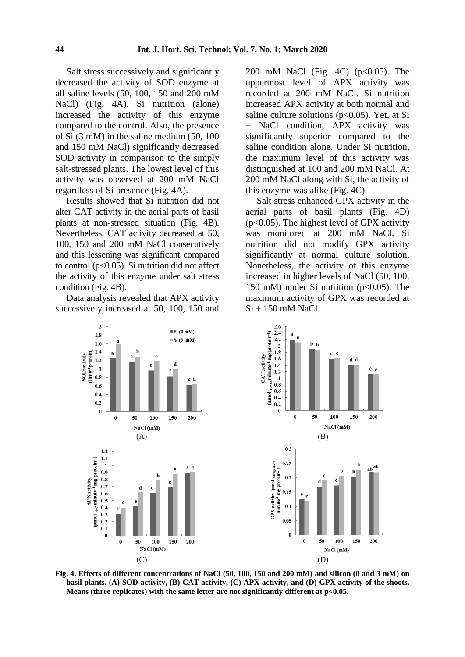Salt stress successively and significantly decreased the activity of SOD enzyme at all saline levels (50, 100, 150 and 200 mM NaCl) (Fig. 4A). Si nutrition (alone) increased the activity of this enzyme compared to the control. Also, the presence of Si (3 mM) in the saline medium (50, 100 and 150 mM NaCl) significantly decreased SOD activity in comparison to the simply salt-stressed plants. The lowest level of this activity was observed at 200 mM NaCl regardless of Si presence (Fig. 4A).

Results showed that Si nutrition did not alter CAT activity in the aerial parts of basil plants at non-stressed situation (Fig. 4B). Nevertheless, CAT activity decreased at 50, 100, 150 and 200 mM NaCl consecutively and this lessening was significant compared to control ( $p<0.05$ ). Si nutrition did not affect the activity of this enzyme under salt stress condition (Fig. 4B).

Data analysis revealed that APX activity successively increased at 50, 100, 150 and 200 mM NaCl (Fig. 4C) (p<0.05). The uppermost level of APX activity was recorded at 200 mM NaCl. Si nutrition increased APX activity at both normal and saline culture solutions (p<0.05). Yet, at Si + NaCl condition, APX activity was significantly superior compared to the saline condition alone. Under Si nutrition, the maximum level of this activity was distinguished at 100 and 200 mM NaCl. At 200 mM NaCl along with Si, the activity of this enzyme was alike (Fig. 4C).

Salt stress enhanced GPX activity in the aerial parts of basil plants (Fig. 4D) (p<0.05). The highest level of GPX activity was monitored at 200 mM NaCl. Si nutrition did not modify GPX activity significantly at normal culture solution. Nonetheless, the activity of this enzyme increased in higher levels of NaCl (50, 100, 150 mM) under Si nutrition (p<0.05). The maximum activity of GPX was recorded at Si + 150 mM NaCl.



**Fig. 4. Effects of different concentrations of NaCl (50, 100, 150 and 200 mM) and silicon (0 and 3 mM) on basil plants. (A) SOD activity, (B) CAT activity, (C) APX activity, and (D) GPX activity of the shoots. Means (three replicates) with the same letter are not significantly different at p<0.05.**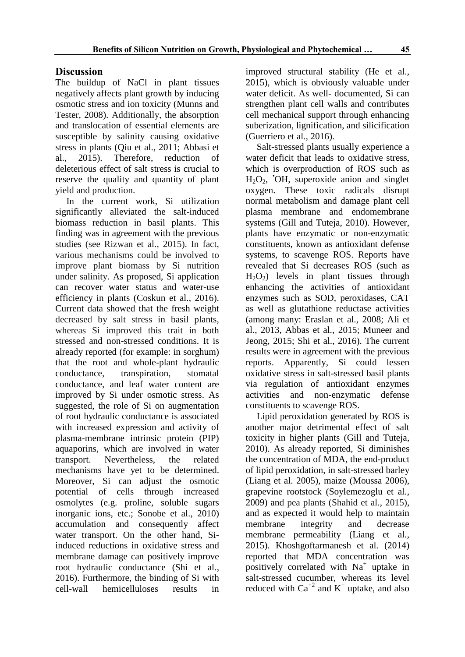## **Discussion**

The buildup of NaCl in plant tissues negatively affects plant growth by inducing osmotic stress and ion toxicity (Munns and Tester, 2008). Additionally, the absorption and translocation of essential elements are susceptible by salinity causing oxidative stress in plants (Qiu et al., 2011; Abbasi et al., 2015). Therefore, reduction of deleterious effect of salt stress is crucial to reserve the quality and quantity of plant yield and production.

In the current work, Si utilization significantly alleviated the salt-induced biomass reduction in basil plants. This finding was in agreement with the previous studies (see Rizwan et al., 2015). In fact, various mechanisms could be involved to improve plant biomass by Si nutrition under salinity. As proposed, Si application can recover water status and water-use efficiency in plants (Coskun et al., 2016). Current data showed that the fresh weight decreased by salt stress in basil plants, whereas Si improved this trait in both stressed and non-stressed conditions. It is already reported (for example: in sorghum) that the root and whole-plant hydraulic conductance, transpiration, stomatal conductance, and leaf water content are improved by Si under osmotic stress. As suggested, the role of Si on augmentation of root hydraulic conductance is associated with increased expression and activity of plasma-membrane intrinsic protein (PIP) aquaporins, which are involved in water transport. Nevertheless, the related mechanisms have yet to be determined. Moreover, Si can adjust the osmotic potential of cells through increased osmolytes (e.g. proline, soluble sugars inorganic ions, etc.; Sonobe et al., 2010) accumulation and consequently affect water transport. On the other hand, Siinduced reductions in oxidative stress and membrane damage can positively improve root hydraulic conductance (Shi et al., 2016). Furthermore, the binding of Si with cell-wall hemicelluloses results in

improved structural stability (He et al., 2015), which is obviously valuable under water deficit. As well- documented, Si can strengthen plant cell walls and contributes cell mechanical support through enhancing suberization, lignification, and silicification (Guerriero et al., 2016).

Salt-stressed plants usually experience a water deficit that leads to oxidative stress, which is overproduction of ROS such as H2O2, •OH, superoxide anion and singlet oxygen. These toxic radicals disrupt normal metabolism and damage plant cell plasma membrane and endomembrane systems (Gill and Tuteja, 2010). However, plants have enzymatic or non-enzymatic constituents, known as antioxidant defense systems, to scavenge ROS. Reports have revealed that Si decreases ROS (such as  $H<sub>2</sub>O<sub>2</sub>$ ) levels in plant tissues through enhancing the activities of antioxidant enzymes such as SOD, peroxidases, CAT as well as glutathione reductase activities (among many: Eraslan et al., 2008; Ali et al., 2013, Abbas et al., 2015; Muneer and Jeong, 2015; Shi et al., 2016). The current results were in agreement with the previous reports. Apparently, Si could lessen oxidative stress in salt-stressed basil plants via regulation of antioxidant enzymes activities and non-enzymatic defense constituents to scavenge ROS.

Lipid peroxidation generated by ROS is another major detrimental effect of salt toxicity in higher plants (Gill and Tuteja, 2010). As already reported, Si diminishes the concentration of MDA, the end-product of lipid peroxidation, in salt-stressed barley (Liang et al. 2005), maize (Moussa 2006), grapevine rootstock (Soylemezoglu et al., 2009) and pea plants (Shahid et al., 2015), and as expected it would help to maintain membrane integrity and decrease membrane permeability (Liang et al., 2015). Khoshgoftarmanesh et al. (2014) reported that MDA concentration was positively correlated with Na<sup>+</sup> uptake in salt-stressed cucumber, whereas its level reduced with  $Ca^{+2}$  and  $K^+$  uptake, and also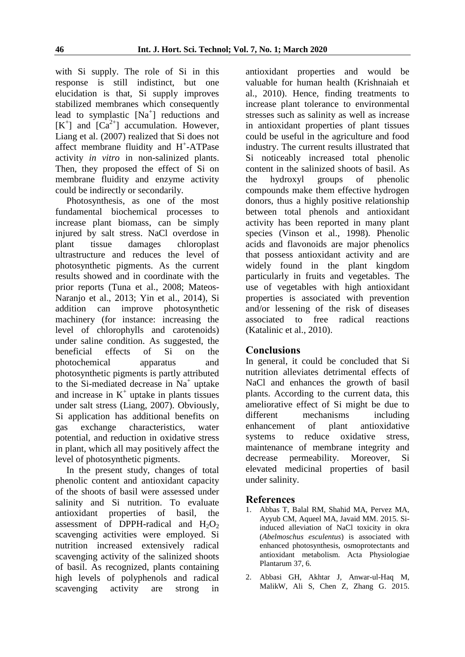with Si supply. The role of Si in this response is still indistinct, but one elucidation is that, Si supply improves stabilized membranes which consequently lead to symplastic  $[Na^+]$  reductions and  $[K^+]$  and  $[Ca^{2+}]$  accumulation. However, Liang et al. (2007) realized that Si does not affect membrane fluidity and H<sup>+</sup>-ATPase activity *in vitro* in non-salinized plants. Then, they proposed the effect of Si on membrane fluidity and enzyme activity could be indirectly or secondarily.

Photosynthesis, as one of the most fundamental biochemical processes to increase plant biomass, can be simply injured by salt stress. NaCl overdose in plant tissue damages chloroplast ultrastructure and reduces the level of photosynthetic pigments. As the current results showed and in coordinate with the prior reports (Tuna et al., 2008; Mateos-Naranjo et al., 2013; Yin et al., 2014), Si addition can improve photosynthetic machinery (for instance: increasing the level of chlorophylls and carotenoids) under saline condition. As suggested, the beneficial effects of Si on the photochemical apparatus and photosynthetic pigments is partly attributed to the Si-mediated decrease in  $Na<sup>+</sup>$  uptake and increase in  $K^+$  uptake in plants tissues under salt stress (Liang, 2007). Obviously, Si application has additional benefits on gas exchange characteristics, water potential, and reduction in oxidative stress in plant, which all may positively affect the level of photosynthetic pigments.

In the present study, changes of total phenolic content and antioxidant capacity of the shoots of basil were assessed under salinity and Si nutrition. To evaluate antioxidant properties of basil*,* the assessment of DPPH-radical and  $H_2O_2$ scavenging activities were employed. Si nutrition increased extensively radical scavenging activity of the salinized shoots of basil. As recognized, plants containing high levels of polyphenols and radical scavenging activity are strong in

antioxidant properties and would be valuable for human health (Krishnaiah et al., 2010). Hence, finding treatments to increase plant tolerance to environmental stresses such as salinity as well as increase in antioxidant properties of plant tissues could be useful in the agriculture and food industry. The current results illustrated that Si noticeably increased total phenolic content in the salinized shoots of basil. As the hydroxyl groups of phenolic compounds make them effective hydrogen donors, thus a highly positive relationship between total phenols and antioxidant activity has been reported in many plant species (Vinson et al., 1998). Phenolic acids and flavonoids are major phenolics that possess antioxidant activity and are widely found in the plant kingdom particularly in fruits and vegetables. The use of vegetables with high antioxidant properties is associated with prevention and/or lessening of the risk of diseases associated to free radical reactions (Katalinic et al., 2010).

## **Conclusions**

In general, it could be concluded that Si nutrition alleviates detrimental effects of NaCl and enhances the growth of basil plants. According to the current data, this ameliorative effect of Si might be due to different mechanisms including enhancement of plant antioxidative systems to reduce oxidative stress, maintenance of membrane integrity and decrease permeability. Moreover, Si elevated medicinal properties of basil under salinity.

## **References**

- 1. Abbas T, Balal RM, Shahid MA, Pervez MA, Ayyub CM, Aqueel MA, Javaid MM. 2015. Siinduced alleviation of NaCl toxicity in okra (*Abelmoschus esculentus*) is associated with enhanced photosynthesis, osmoprotectants and antioxidant metabolism. Acta Physiologiae Plantarum 37, 6.
- 2. Abbasi GH, Akhtar J, Anwar-ul-Haq M, MalikW, Ali S, Chen Z, Zhang G. 2015.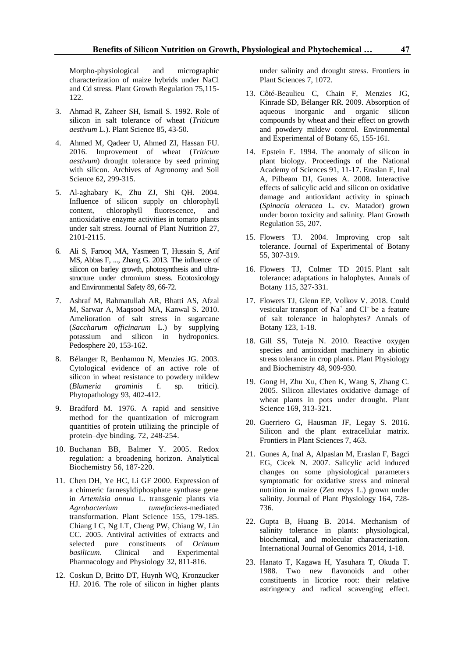Morpho-physiological and micrographic characterization of maize hybrids under NaCl and Cd stress. Plant Growth Regulation 75,115- 122.

- 3. Ahmad R, Zaheer SH, Ismail S. 1992. Role of silicon in salt tolerance of wheat (*Triticum aestivum* L.). Plant Science 85, 43-50.
- 4. Ahmed M, Qadeer U, Ahmed ZI, Hassan FU. 2016. Improvement of wheat (*Triticum aestivum*) drought tolerance by seed priming with silicon. Archives of Agronomy and Soil Science 62, 299-315.
- 5. Al-aghabary K, Zhu ZJ, Shi QH. 2004. Influence of silicon supply on chlorophyll<br>content, chlorophyll fluorescence, and content, chlorophyll fluorescence, and antioxidative enzyme activities in tomato plants under salt stress. Journal of Plant Nutrition 27, 2101-2115.
- 6. Ali S, Farooq MA, Yasmeen T, Hussain S, Arif MS, Abbas F, ..., Zhang G. 2013. The influence of silicon on barley growth, photosynthesis and ultrastructure under chromium stress. Ecotoxicology and Environmental Safety 89, 66-72.
- 7. Ashraf M, Rahmatullah AR, Bhatti AS, Afzal M, Sarwar A, Maqsood MA, Kanwal S. 2010. Amelioration of salt stress in sugarcane (*Saccharum officinarum* L.) by supplying potassium and silicon in hydroponics. Pedosphere 20, 153-162.
- 8. Bélanger R, Benhamou N, Menzies JG. 2003. Cytological evidence of an active role of silicon in wheat resistance to powdery mildew (*Blumeria graminis* f. sp. tritici). Phytopathology 93, 402-412.
- 9. Bradford M. 1976. A rapid and sensitive method for the quantization of microgram quantities of protein utilizing the principle of protein–dye binding. 72, 248-254.
- 10. Buchanan BB, Balmer Y. 2005. Redox regulation: a broadening horizon. Analytical Biochemistry 56, 187-220.
- 11. Chen DH, Ye HC, Li GF 2000. Expression of a chimeric farnesyldiphosphate synthase gene in *Artemisia annua* L. transgenic plants via *Agrobacterium tumefaciens*-mediated transformation. Plant Science 155, 179-185. Chiang LC, Ng LT, Cheng PW, Chiang W, Lin CC. 2005. Antiviral activities of extracts and selected pure constituents of *Ocimum basilicum*. Clinical and Experimental Pharmacology and Physiology 32, 811-816.
- 12. Coskun D, Britto DT, Huynh WQ, Kronzucker HJ. 2016. The role of silicon in higher plants

under salinity and drought stress. Frontiers in Plant Sciences 7, 1072.

- 13. Côté-Beaulieu C, Chain F, Menzies JG, Kinrade SD, Bélanger RR. 2009. Absorption of aqueous inorganic and organic silicon compounds by wheat and their effect on growth and powdery mildew control. Environmental and Experimental of Botany 65, 155-161.
- 14. Epstein E. 1994. The anomaly of silicon in plant biology. Proceedings of the National Academy of Sciences 91, 11-17. Eraslan F, Inal A, Pilbeam DJ, Gunes A. 2008. Interactive effects of salicylic acid and silicon on oxidative damage and antioxidant activity in spinach (*Spinacia oleracea* L. cv. Matador) grown under boron toxicity and salinity. Plant Growth Regulation 55, 207.
- 15. Flowers TJ. 2004. Improving crop salt tolerance. Journal of Experimental of Botany 55, 307-319.
- 16. Flowers TJ, Colmer TD 2015. Plant salt tolerance: adaptations in halophytes. Annals of Botany 115, 327-331.
- 17. Flowers TJ, Glenn EP, Volkov V. 2018. Could vesicular transport of Na<sup>+</sup> and Cl<sup>-</sup> be a feature of salt tolerance in halophytes*?* Annals of Botany 123, 1-18.
- 18. Gill SS, Tuteja N. 2010. Reactive oxygen species and antioxidant machinery in abiotic stress tolerance in crop plants. Plant Physiology and Biochemistry 48, 909-930.
- 19. Gong H, Zhu Xu, Chen K, Wang S, Zhang C. 2005. Silicon alleviates oxidative damage of wheat plants in pots under drought. Plant Science 169, 313-321.
- 20. Guerriero G, Hausman JF, Legay S. 2016. Silicon and the plant extracellular matrix. Frontiers in Plant Sciences 7, 463.
- 21. Gunes A, Inal A, Alpaslan M, Eraslan F, Bagci EG, Cicek N. 2007. Salicylic acid induced changes on some physiological parameters symptomatic for oxidative stress and mineral nutrition in maize (*Zea mays* L.) grown under salinity. Journal of Plant Physiology 164, 728- 736.
- 22. Gupta B, Huang B. 2014. Mechanism of salinity tolerance in plants: physiological, biochemical, and molecular characterization. International Journal of Genomics 2014, 1-18.
- 23. Hanato T, Kagawa H, Yasuhara T, Okuda T. 1988. Two new flavonoids and other constituents in licorice root: their relative astringency and radical scavenging effect.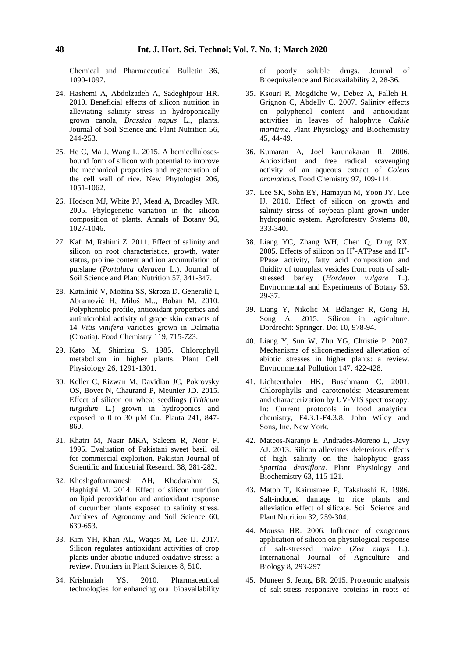Chemical and Pharmaceutical Bulletin 36, 1090-1097.

- 24. Hashemi A, Abdolzadeh A, Sadeghipour HR. 2010. Beneficial effects of silicon nutrition in alleviating salinity stress in hydroponically grown canola, *Brassica napus* L., plants. Journal of Soil Science and Plant Nutrition 56, 244-253.
- 25. He C, Ma J, Wang L. 2015. A hemicellulosesbound form of silicon with potential to improve the mechanical properties and regeneration of the cell wall of rice. New Phytologist 206, 1051-1062.
- 26. Hodson MJ, White PJ, Mead A, Broadley MR. 2005. Phylogenetic variation in the silicon composition of plants. Annals of Botany 96, 1027-1046.
- 27. Kafi M, Rahimi Z. 2011. Effect of salinity and silicon on root characteristics, growth, water status, proline content and ion accumulation of purslane (*Portulaca oleracea* L.). Journal of Soil Science and Plant Nutrition 57, 341-347.
- 28. Katalinić V, Možina SS, Skroza D, Generalić I, Abramovič H, Miloš M,., Boban M. 2010. Polyphenolic profile, antioxidant properties and antimicrobial activity of grape skin extracts of 14 *Vitis vinifera* varieties grown in Dalmatia (Croatia). Food Chemistry 119, 715-723.
- 29. Kato M, Shimizu S. 1985. Chlorophyll metabolism in higher plants. Plant Cell Physiology 26, 1291-1301.
- 30. Keller C, Rizwan M, Davidian JC, Pokrovsky OS, Bovet N, Chaurand P, Meunier JD. 2015. Effect of silicon on wheat seedlings (*Triticum turgidum* L.) grown in hydroponics and exposed to 0 to 30 µM Cu. Planta 241, 847- 860.
- 31. Khatri M, Nasir MKA, Saleem R, Noor F. 1995. Evaluation of Pakistani sweet basil oil for commercial exploition. Pakistan Journal of Scientific and Industrial Research 38, 281-282.
- 32. Khoshgoftarmanesh AH, Khodarahmi S, Haghighi M. 2014. Effect of silicon nutrition on lipid peroxidation and antioxidant response of cucumber plants exposed to salinity stress. Archives of Agronomy and Soil Science 60, 639-653.
- 33. Kim YH, Khan AL, Waqas M, Lee IJ. 2017. Silicon regulates antioxidant activities of crop plants under abiotic-induced oxidative stress: a review. Frontiers in Plant Sciences 8, 510.
- 34. Krishnaiah YS. 2010. Pharmaceutical technologies for enhancing oral bioavailability

of poorly soluble drugs. Journal of Bioequivalence and Bioavailability 2, 28-36.

- 35. Ksouri R, Megdiche W, Debez A, Falleh H, Grignon C, Abdelly C. 2007. Salinity effects on polyphenol content and antioxidant activities in leaves of halophyte *Cakile maritime*. Plant Physiology and Biochemistry 45, 44-49.
- 36. Kumaran A, Joel karunakaran R. 2006. Antioxidant and free radical scavenging activity of an aqueous extract of *Coleus aromaticus.* Food Chemistry 97, 109-114.
- 37. Lee SK, Sohn EY, Hamayun M, Yoon JY, Lee IJ. 2010. Effect of silicon on growth and salinity stress of soybean plant grown under hydroponic system. Agroforestry Systems 80, 333-340.
- 38. Liang YC, Zhang WH, Chen Q, Ding RX. 2005. Effects of silicon on H<sup>+</sup>-ATPase and H<sup>+</sup>-PPase activity, fatty acid composition and fluidity of tonoplast vesicles from roots of saltstressed barley (*Hordeum vulgare* L.). Environmental and Experiments of Botany 53, 29-37.
- 39. Liang Y, Nikolic M, Bélanger R, Gong H, Song A. 2015. Silicon in agriculture. Dordrecht: Springer. Doi 10, 978-94.
- 40. Liang Y, Sun W, Zhu YG, Christie P. 2007. Mechanisms of silicon-mediated alleviation of abiotic stresses in higher plants: a review. Environmental Pollution 147, 422-428.
- 41. Lichtenthaler HK, Buschmann C. 2001. Chlorophylls and carotenoids: Measurement and characterization by UV‐VIS spectroscopy. In: Current protocols in food analytical chemistry, F4.3.1-F4.3.8. John Wiley and Sons, Inc. New York.
- 42. Mateos-Naranjo E, Andrades-Moreno L, Davy AJ. 2013. Silicon alleviates deleterious effects of high salinity on the halophytic grass *Spartina densiflora*. Plant Physiology and Biochemistry 63, 115-121.
- 43. Matoh T, Kairusmee P, Takahashi E. 1986. Salt-induced damage to rice plants and alleviation effect of silicate. Soil Science and Plant Nutrition 32, 259-304.
- 44. Moussa HR. 2006. Influence of exogenous application of silicon on physiological response of salt-stressed maize (*Zea mays* L.). International Journal of Agriculture and Biology 8, 293-297
- 45. Muneer S, Jeong BR. 2015. Proteomic analysis of salt-stress responsive proteins in roots of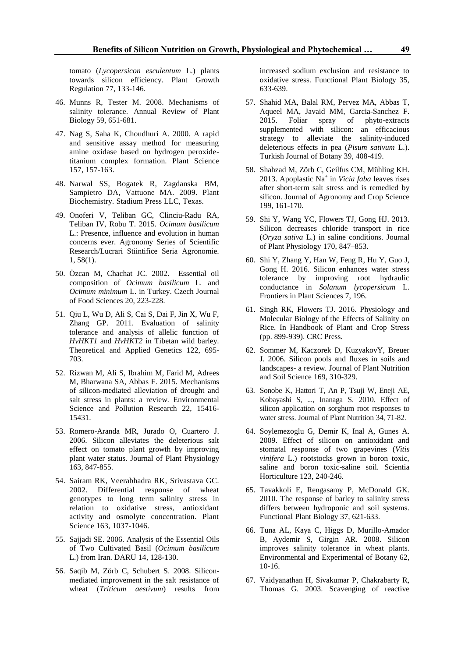tomato (*Lycopersicon esculentum* L.) plants towards silicon efficiency. Plant Growth Regulation 77, 133-146.

- 46. Munns R, Tester M. 2008. Mechanisms of salinity tolerance. Annual Review of Plant Biology 59, 651-681.
- 47. Nag S, Saha K, Choudhuri A. 2000. A rapid and sensitive assay method for measuring amine oxidase based on hydrogen peroxidetitanium complex formation. Plant Science 157, 157-163.
- 48. Narwal SS, Bogatek R, Zagdanska BM, Sampietro DA, Vattuone MA. 2009. Plant Biochemistry. Stadium Press LLC, Texas.
- 49. Onoferi V, Teliban GC, Clinciu-Radu RA, Teliban IV, Robu T. 2015. *Ocimum basilicum* L.: Presence, influence and evolution in human concerns ever. Agronomy Series of Scientific Research/Lucrari Stiintifice Seria Agronomie. 1, 58(1).
- 50. Özcan M, Chachat JC. 2002. Essential oil composition of *Ocimum basilicum* L. and *Ocimum minimum* L. in Turkey. Czech Journal of Food Sciences 20, 223-228.
- 51. Qiu L, Wu D, Ali S, Cai S, Dai F, Jin X, Wu F, Zhang GP. 2011. Evaluation of salinity tolerance and analysis of allelic function of *HvHKT1* and *HvHKT2* in Tibetan wild barley. Theoretical and Applied Genetics 122, 695- 703.
- 52. Rizwan M, Ali S, Ibrahim M, Farid M, Adrees M, Bharwana SA, Abbas F. 2015. Mechanisms of silicon-mediated alleviation of drought and salt stress in plants: a review. Environmental Science and Pollution Research 22, 15416- 15431.
- 53. Romero-Aranda MR, Jurado O, Cuartero J. 2006. Silicon alleviates the deleterious salt effect on tomato plant growth by improving plant water status. Journal of Plant Physiology 163, 847-855.
- 54. Sairam RK, Veerabhadra RK, Srivastava GC. 2002. Differential response of wheat genotypes to long term salinity stress in relation to oxidative stress, antioxidant activity and osmolyte concentration. Plant Science 163, 1037-1046.
- 55. Sajjadi SE. 2006. Analysis of the Essential Oils of Two Cultivated Basil (*Ocimum basilicum* L.) from Iran. DARU 14, 128-130.
- 56. Saqib M, Zörb C, Schubert S. 2008. Siliconmediated improvement in the salt resistance of wheat (*Triticum aestivum*) results from

increased sodium exclusion and resistance to oxidative stress. Functional Plant Biology 35, 633-639.

- 57. Shahid MA, Balal RM, Pervez MA, Abbas T, Aqueel MA, Javaid MM, Garcia-Sanchez F. 2015. Foliar spray of phyto-extracts supplemented with silicon: an efficacious strategy to alleviate the salinity-induced deleterious effects in pea (*Pisum sativum* L.). Turkish Journal of Botany 39, 408-419.
- 58. Shahzad M, Zörb C, Geilfus CM, Mühling KH. 2013. Apoplastic Na<sup>+</sup> in *Vicia faba* leaves rises after short-term salt stress and is remedied by silicon. Journal of Agronomy and Crop Science 199, 161-170.
- 59. Shi Y, Wang YC, Flowers TJ, Gong HJ. 2013. Silicon decreases chloride transport in rice (*Oryza sativa* L.) in saline conditions. Journal of Plant Physiology 170, 847–853.
- 60. Shi Y, Zhang Y, Han W, Feng R, Hu Y, Guo J, Gong H. 2016. Silicon enhances water stress tolerance by improving root hydraulic conductance in *Solanum lycopersicum* L. Frontiers in Plant Sciences 7, 196.
- 61. Singh RK, Flowers TJ. 2016. Physiology and Molecular Biology of the Effects of Salinity on Rice. In Handbook of Plant and Crop Stress (pp. 899-939). CRC Press.
- 62. Sommer M, Kaczorek D, KuzyakovY, Breuer J. 2006. Silicon pools and fluxes in soils and landscapes- a review. Journal of Plant Nutrition and Soil Science 169, 310-329.
- 63. Sonobe K, Hattori T, An P, Tsuji W, Eneji AE, Kobayashi S, ..., Inanaga S. 2010. Effect of silicon application on sorghum root responses to water stress. Journal of Plant Nutrition 34, 71-82.
- 64. Soylemezoglu G, Demir K, Inal A, Gunes A. 2009. Effect of silicon on antioxidant and stomatal response of two grapevines (*Vitis vinifera* L.) rootstocks grown in boron toxic, saline and boron toxic-saline soil. Scientia Horticulture 123, 240-246.
- 65. Tavakkoli E, Rengasamy P, McDonald GK. 2010. The response of barley to salinity stress differs between hydroponic and soil systems. Functional Plant Biology 37, 621-633.
- 66. Tuna AL, Kaya C, Higgs D, Murillo-Amador B, Aydemir S, Girgin AR. 2008. Silicon improves salinity tolerance in wheat plants. Environmental and Experimental of Botany 62, 10-16.
- 67. Vaidyanathan H, Sivakumar P, Chakrabarty R, Thomas G. 2003. Scavenging of reactive